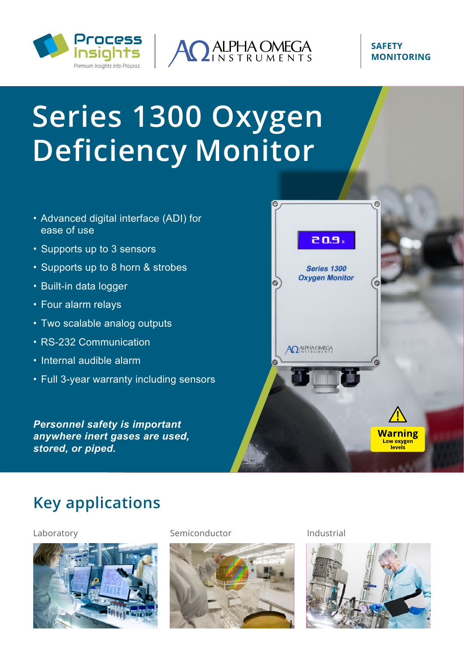



#### **SAFETY MONITORING**

# **Series 1300 Oxygen Deficiency Monitor**

- Advanced digital interface (ADI) for ease of use
- Supports up to 3 sensors
- Supports up to 8 horn & strobes
- Built-in data logger
- Four alarm relays
- Two scalable analog outputs
- RS-232 Communication
- Internal audible alarm
- Full 3-year warranty including sensors

*Personnel safety is important anywhere inert gases are used, stored, or piped.*



# **Key applications**



#### Laboratory Semiconductor Industrial